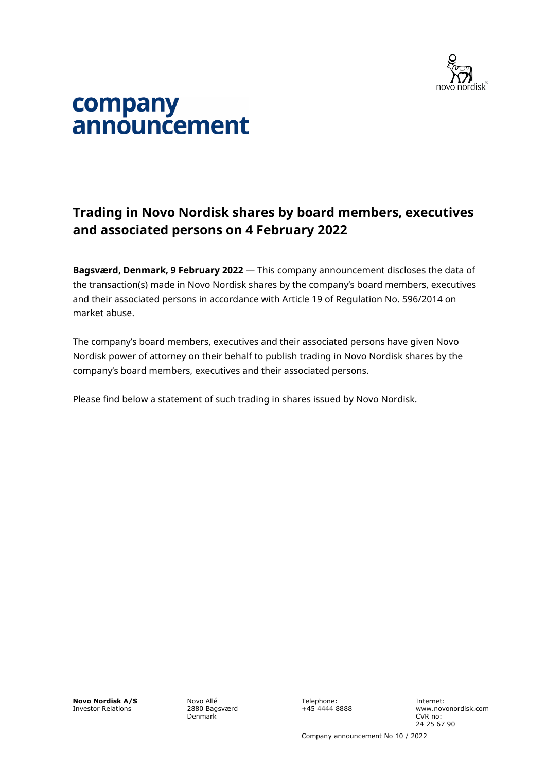

# company announcement

# **Trading in Novo Nordisk shares by board members, executives and associated persons on 4 February 2022**

**Bagsværd, Denmark, 9 February 2022** — This company announcement discloses the data of the transaction(s) made in Novo Nordisk shares by the company's board members, executives and their associated persons in accordance with Article 19 of Regulation No. 596/2014 on market abuse.

The company's board members, executives and their associated persons have given Novo Nordisk power of attorney on their behalf to publish trading in Novo Nordisk shares by the company's board members, executives and their associated persons.

Please find below a statement of such trading in shares issued by Novo Nordisk.

**Novo Nordisk A/S** Investor Relations

Novo Allé 2880 Bagsværd Denmark

Telephone: +45 4444 8888 Internet: www.novonordisk.com CVR no: 24 25 67 90

Company announcement No 10 / 2022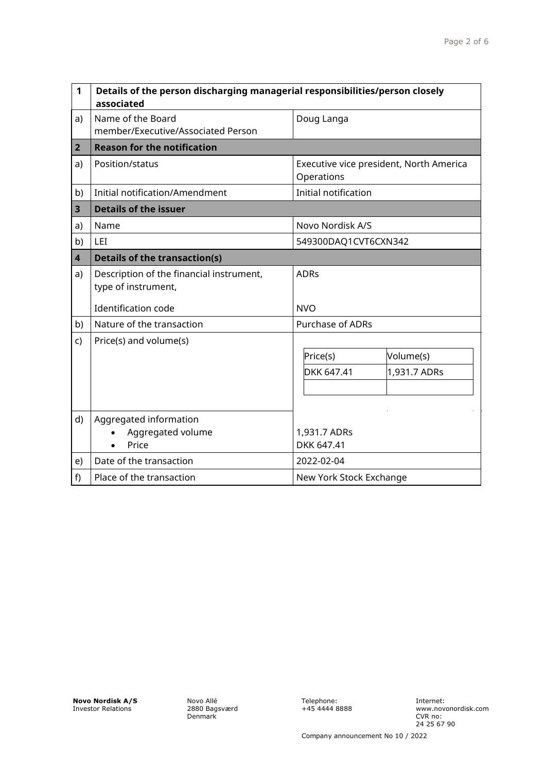| 1                       | Details of the person discharging managerial responsibilities/person closely<br>associated |                                                       |  |
|-------------------------|--------------------------------------------------------------------------------------------|-------------------------------------------------------|--|
| a)                      | Name of the Board                                                                          | Doug Langa                                            |  |
|                         | member/Executive/Associated Person                                                         |                                                       |  |
| $\overline{2}$          | <b>Reason for the notification</b>                                                         |                                                       |  |
| a)                      | Position/status                                                                            | Executive vice president, North America<br>Operations |  |
| b)                      | <b>Initial notification/Amendment</b>                                                      | Initial notification                                  |  |
| $\overline{\mathbf{3}}$ | <b>Details of the issuer</b>                                                               |                                                       |  |
| a)                      | Name                                                                                       | Novo Nordisk A/S                                      |  |
| b)                      | LEI                                                                                        | 549300DAQ1CVT6CXN342                                  |  |
| $\overline{\mathbf{4}}$ | <b>Details of the transaction(s)</b>                                                       |                                                       |  |
| a)                      | Description of the financial instrument,<br>type of instrument,                            | <b>ADRs</b>                                           |  |
|                         | <b>Identification code</b>                                                                 | <b>NVO</b>                                            |  |
| b)                      | Nature of the transaction                                                                  | <b>Purchase of ADRs</b>                               |  |
| $\mathsf{C}$            | Price(s) and volume(s)                                                                     |                                                       |  |
|                         |                                                                                            | Volume(s)<br>Price(s)                                 |  |
|                         |                                                                                            | 1,931.7 ADRs<br>DKK 647.41                            |  |
|                         |                                                                                            |                                                       |  |
|                         |                                                                                            |                                                       |  |
| d)                      | Aggregated information                                                                     |                                                       |  |
|                         | Aggregated volume                                                                          | 1,931.7 ADRs                                          |  |
|                         | Price                                                                                      | DKK 647.41                                            |  |
| e)                      | Date of the transaction                                                                    | 2022-02-04                                            |  |
| f)                      | Place of the transaction                                                                   | New York Stock Exchange                               |  |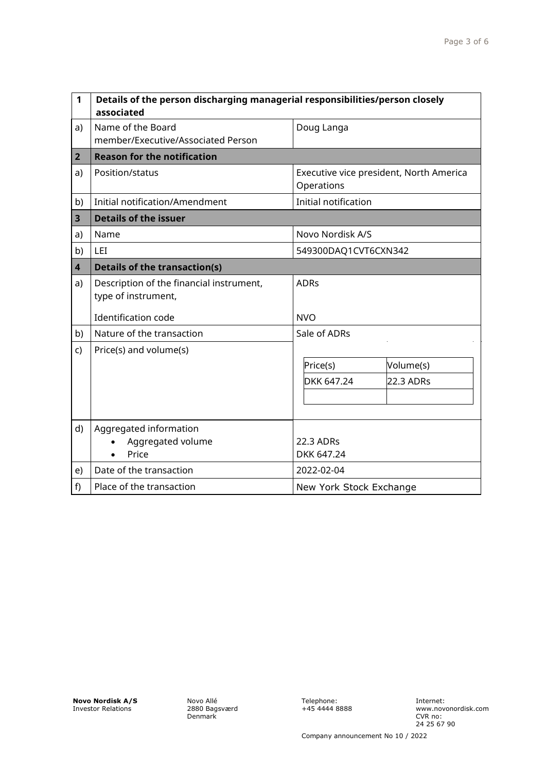| $\mathbf{1}$            | Details of the person discharging managerial responsibilities/person closely<br>associated |                                                       |  |  |
|-------------------------|--------------------------------------------------------------------------------------------|-------------------------------------------------------|--|--|
| a)                      | Name of the Board<br>member/Executive/Associated Person                                    | Doug Langa                                            |  |  |
| $\overline{2}$          | <b>Reason for the notification</b>                                                         |                                                       |  |  |
| a)                      | Position/status                                                                            | Executive vice president, North America<br>Operations |  |  |
| b)                      | <b>Initial notification/Amendment</b>                                                      | Initial notification                                  |  |  |
| 3                       | <b>Details of the issuer</b>                                                               |                                                       |  |  |
| a)                      | Name                                                                                       | Novo Nordisk A/S                                      |  |  |
| b)                      | LEI                                                                                        | 549300DAQ1CVT6CXN342                                  |  |  |
| $\overline{\mathbf{4}}$ | <b>Details of the transaction(s)</b>                                                       |                                                       |  |  |
| a)                      | Description of the financial instrument,<br>type of instrument,                            | <b>ADRs</b>                                           |  |  |
|                         | <b>Identification code</b>                                                                 | <b>NVO</b>                                            |  |  |
| b)                      | Nature of the transaction                                                                  | Sale of ADRs                                          |  |  |
| $\mathsf{C}$            | Price(s) and volume(s)                                                                     |                                                       |  |  |
|                         |                                                                                            | Price(s)<br>Volume(s)                                 |  |  |
|                         |                                                                                            | <b>22.3 ADRs</b><br>DKK 647.24                        |  |  |
|                         |                                                                                            |                                                       |  |  |
|                         |                                                                                            |                                                       |  |  |
| d)                      | Aggregated information<br>Aggregated volume<br>Price                                       | 22.3 ADRs<br>DKK 647.24                               |  |  |
| e)                      | Date of the transaction                                                                    | 2022-02-04                                            |  |  |
| f)                      | Place of the transaction                                                                   | New York Stock Exchange                               |  |  |

**Novo Nordisk A/S** Investor Relations

Novo Allé 2880 Bagsværd Denmark

Telephone: +45 4444 8888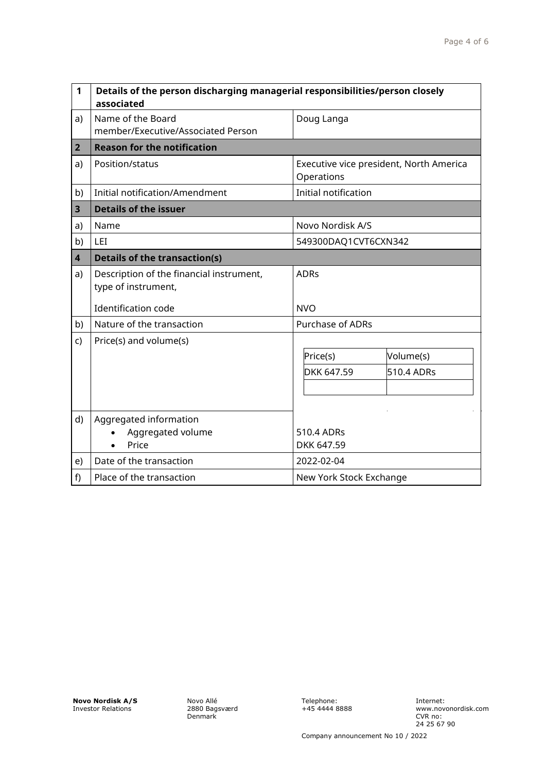| 1                       | Details of the person discharging managerial responsibilities/person closely<br>associated |                                                       |  |
|-------------------------|--------------------------------------------------------------------------------------------|-------------------------------------------------------|--|
| a)                      | Name of the Board                                                                          | Doug Langa                                            |  |
|                         | member/Executive/Associated Person                                                         |                                                       |  |
| $\overline{2}$          | <b>Reason for the notification</b>                                                         |                                                       |  |
| a)                      | Position/status                                                                            | Executive vice president, North America<br>Operations |  |
| b)                      | <b>Initial notification/Amendment</b>                                                      | Initial notification                                  |  |
| $\overline{\mathbf{3}}$ | <b>Details of the issuer</b>                                                               |                                                       |  |
| a)                      | Name                                                                                       | Novo Nordisk A/S                                      |  |
| b)                      | LEI                                                                                        | 549300DAQ1CVT6CXN342                                  |  |
| $\overline{\mathbf{4}}$ | <b>Details of the transaction(s)</b>                                                       |                                                       |  |
| a)                      | Description of the financial instrument,<br>type of instrument,                            | <b>ADRs</b>                                           |  |
|                         | <b>Identification code</b>                                                                 | <b>NVO</b>                                            |  |
| b)                      | Nature of the transaction                                                                  | <b>Purchase of ADRs</b>                               |  |
| C)                      | Price(s) and volume(s)                                                                     |                                                       |  |
|                         |                                                                                            | Volume(s)<br>Price(s)                                 |  |
|                         |                                                                                            | 510.4 ADRs<br>DKK 647.59                              |  |
|                         |                                                                                            |                                                       |  |
|                         |                                                                                            |                                                       |  |
| d)                      | Aggregated information                                                                     |                                                       |  |
|                         | Aggregated volume                                                                          | 510.4 ADRs                                            |  |
|                         | Price                                                                                      | DKK 647.59                                            |  |
| e)                      | Date of the transaction                                                                    | 2022-02-04                                            |  |
| f                       | Place of the transaction                                                                   | New York Stock Exchange                               |  |

Telephone: +45 4444 8888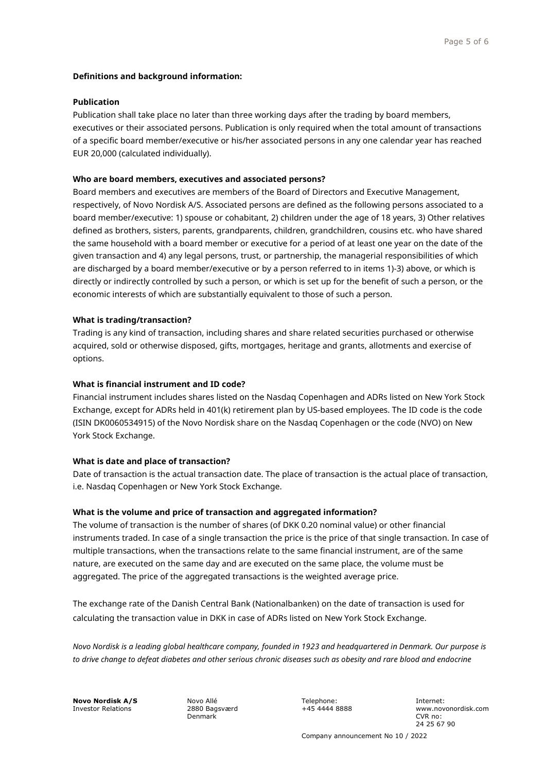# **Definitions and background information:**

#### **Publication**

Publication shall take place no later than three working days after the trading by board members, executives or their associated persons. Publication is only required when the total amount of transactions of a specific board member/executive or his/her associated persons in any one calendar year has reached EUR 20,000 (calculated individually).

#### **Who are board members, executives and associated persons?**

Board members and executives are members of the Board of Directors and Executive Management, respectively, of Novo Nordisk A/S. Associated persons are defined as the following persons associated to a board member/executive: 1) spouse or cohabitant, 2) children under the age of 18 years, 3) Other relatives defined as brothers, sisters, parents, grandparents, children, grandchildren, cousins etc. who have shared the same household with a board member or executive for a period of at least one year on the date of the given transaction and 4) any legal persons, trust, or partnership, the managerial responsibilities of which are discharged by a board member/executive or by a person referred to in items 1)-3) above, or which is directly or indirectly controlled by such a person, or which is set up for the benefit of such a person, or the economic interests of which are substantially equivalent to those of such a person.

# **What is trading/transaction?**

Trading is any kind of transaction, including shares and share related securities purchased or otherwise acquired, sold or otherwise disposed, gifts, mortgages, heritage and grants, allotments and exercise of options.

## **What is financial instrument and ID code?**

Financial instrument includes shares listed on the Nasdaq Copenhagen and ADRs listed on New York Stock Exchange, except for ADRs held in 401(k) retirement plan by US-based employees. The ID code is the code (ISIN DK0060534915) of the Novo Nordisk share on the Nasdaq Copenhagen or the code (NVO) on New York Stock Exchange.

# **What is date and place of transaction?**

Date of transaction is the actual transaction date. The place of transaction is the actual place of transaction, i.e. Nasdaq Copenhagen or New York Stock Exchange.

# **What is the volume and price of transaction and aggregated information?**

The volume of transaction is the number of shares (of DKK 0.20 nominal value) or other financial instruments traded. In case of a single transaction the price is the price of that single transaction. In case of multiple transactions, when the transactions relate to the same financial instrument, are of the same nature, are executed on the same day and are executed on the same place, the volume must be aggregated. The price of the aggregated transactions is the weighted average price.

The exchange rate of the Danish Central Bank (Nationalbanken) on the date of transaction is used for calculating the transaction value in DKK in case of ADRs listed on New York Stock Exchange.

*Novo Nordisk is a leading global healthcare company, founded in 1923 and headquartered in Denmark. Our purpose is*  to drive change to defeat diabetes and other serious chronic diseases such as obesity and rare blood and endocrine

**Novo Nordisk A/S** Investor Relations

Novo Allé 2880 Bagsværd Denmark

Telephone: +45 4444 8888 Internet: www.novonordisk.com CVR no: 24 25 67 90

Company announcement No 10 / 2022